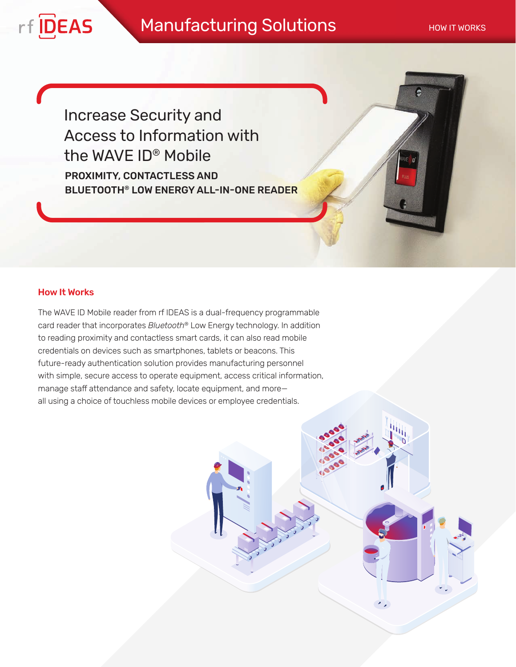٠,

PROXIMITY, CONTACTLESS AND BLUETOOTH® LOW ENERGY ALL-IN-ONE READER Increase Security and Access to Information with the WAVE ID® Mobile

# How It Works

rf **IDEAS** 

The WAVE ID Mobile reader from rf IDEAS is a dual-frequency programmable card reader that incorporates *Bluetooth*® Low Energy technology. In addition to reading proximity and contactless smart cards, it can also read mobile credentials on devices such as smartphones, tablets or beacons. This future-ready authentication solution provides manufacturing personnel with simple, secure access to operate equipment, access critical information, manage staff attendance and safety, locate equipment, and more all using a choice of touchless mobile devices or employee credentials.